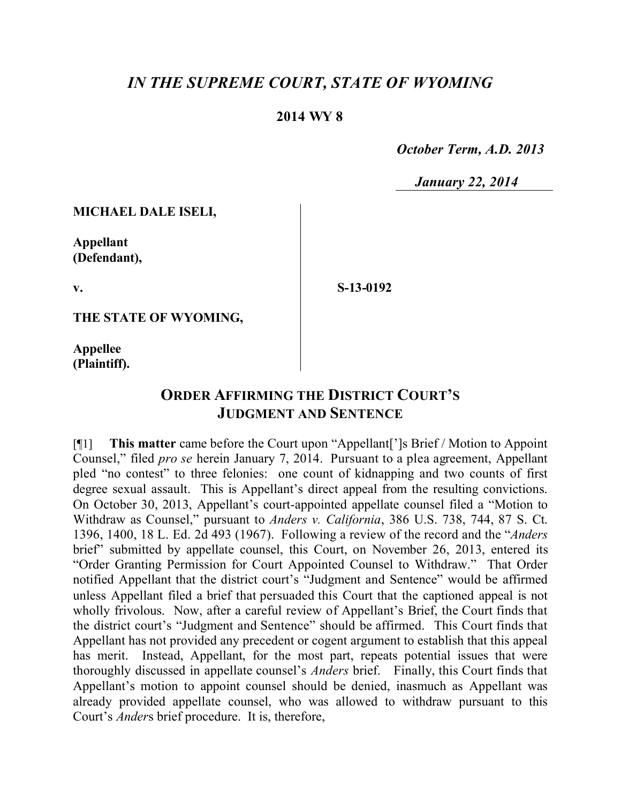## *IN THE SUPREME COURT, STATE OF WYOMING*

## **2014 WY 8**

 *October Term, A.D. 2013*

 *January 22, 2014*

**MICHAEL DALE ISELI,**

**Appellant (Defendant),**

**v.**

**S-13-0192**

**THE STATE OF WYOMING,**

**Appellee (Plaintiff).**

## **ORDER AFFIRMING THE DISTRICT COURT'S JUDGMENT AND SENTENCE**

[¶1] **This matter** came before the Court upon "Appellant[']s Brief / Motion to Appoint Counsel," filed *pro se* herein January 7, 2014. Pursuant to a plea agreement, Appellant pled "no contest" to three felonies: one count of kidnapping and two counts of first degree sexual assault. This is Appellant's direct appeal from the resulting convictions. On October 30, 2013, Appellant's court-appointed appellate counsel filed a "Motion to Withdraw as Counsel," pursuant to *Anders v. California*, 386 U.S. 738, 744, 87 S. Ct. 1396, 1400, 18 L. Ed. 2d 493 (1967). Following a review of the record and the "*Anders* brief" submitted by appellate counsel, this Court, on November 26, 2013, entered its "Order Granting Permission for Court Appointed Counsel to Withdraw." That Order notified Appellant that the district court's "Judgment and Sentence" would be affirmed unless Appellant filed a brief that persuaded this Court that the captioned appeal is not wholly frivolous. Now, after a careful review of Appellant's Brief, the Court finds that the district court's "Judgment and Sentence" should be affirmed. This Court finds that Appellant has not provided any precedent or cogent argument to establish that this appeal has merit. Instead, Appellant, for the most part, repeats potential issues that were thoroughly discussed in appellate counsel's *Anders* brief. Finally, this Court finds that Appellant's motion to appoint counsel should be denied, inasmuch as Appellant was already provided appellate counsel, who was allowed to withdraw pursuant to this Court's *Ander*s brief procedure. It is, therefore,